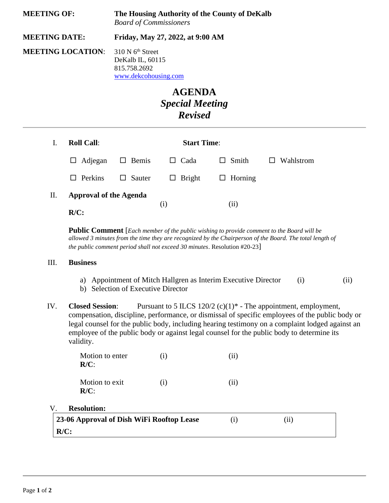| <b>MEETING OF:</b><br><b>MEETING DATE:</b><br><b>MEETING LOCATION:</b> |                                          | The Housing Authority of the County of DeKalb<br><b>Board of Commissioners</b><br>Friday, May 27, 2022, at 9:00 AM |                  |                                                                           |                                                                                                                                                                                                       |      |                                                                                          |  |
|------------------------------------------------------------------------|------------------------------------------|--------------------------------------------------------------------------------------------------------------------|------------------|---------------------------------------------------------------------------|-------------------------------------------------------------------------------------------------------------------------------------------------------------------------------------------------------|------|------------------------------------------------------------------------------------------|--|
|                                                                        |                                          |                                                                                                                    |                  |                                                                           |                                                                                                                                                                                                       |      | 310 N 6 <sup>th</sup> Street<br>DeKalb IL, 60115<br>815.758.2692<br>www.dekcohousing.com |  |
|                                                                        |                                          |                                                                                                                    |                  |                                                                           | <b>AGENDA</b><br><b>Special Meeting</b><br><b>Revised</b>                                                                                                                                             |      |                                                                                          |  |
| I.                                                                     | <b>Roll Call:</b>                        |                                                                                                                    |                  | <b>Start Time:</b>                                                        |                                                                                                                                                                                                       |      |                                                                                          |  |
|                                                                        | Adjegan<br>$\Box$                        | $\Box$ Bemis                                                                                                       | $\Box$ Cada      | $\Box$ Smith                                                              | Wahlstrom<br>$\Box$                                                                                                                                                                                   |      |                                                                                          |  |
|                                                                        | Perkins<br>$\Box$                        | $\Box$ Sauter                                                                                                      | Bright<br>$\Box$ | Horning<br>$\Box$                                                         |                                                                                                                                                                                                       |      |                                                                                          |  |
| II.                                                                    | <b>Approval of the Agenda</b><br>$R/C$ : |                                                                                                                    | (i)              | (ii)                                                                      |                                                                                                                                                                                                       |      |                                                                                          |  |
|                                                                        |                                          |                                                                                                                    |                  | the public comment period shall not exceed 30 minutes. Resolution #20-23] | Public Comment [Each member of the public wishing to provide comment to the Board will be<br>allowed 3 minutes from the time they are recognized by the Chairperson of the Board. The total length of |      |                                                                                          |  |
| III.                                                                   | <b>Business</b>                          |                                                                                                                    |                  |                                                                           |                                                                                                                                                                                                       |      |                                                                                          |  |
|                                                                        |                                          | b) Selection of Executive Director                                                                                 |                  | a) Appointment of Mitch Hallgren as Interim Executive Director            | (i)                                                                                                                                                                                                   | (ii) |                                                                                          |  |

IV. **Closed Session**: Pursuant to 5 ILCS 120/2 (c)(1)\* - The appointment, employment, compensation, discipline, performance, or dismissal of specific employees of the public body or legal counsel for the public body, including hearing testimony on a complaint lodged against an employee of the public body or against legal counsel for the public body to determine its validity.

| Motion to enter<br>$R/C$ :                | $\left( i\right)$ | (ii)     |      |
|-------------------------------------------|-------------------|----------|------|
| Motion to exit<br>$R/C$ :                 | $\rm(i)$          | (i)      |      |
| <b>Resolution:</b>                        |                   |          |      |
| 23-06 Approval of Dish WiFi Rooftop Lease |                   | $\rm(i)$ | (ii) |
| $R/C$ :                                   |                   |          |      |

V. **Resolution:**